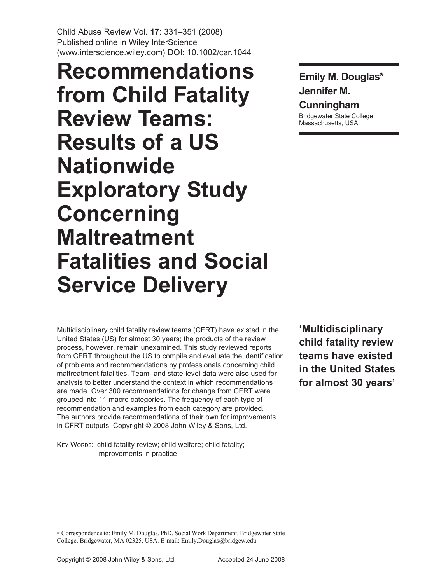*Recommendations from Child Fatality Review Teams* 331 Child Abuse Review Vol. **17**: 331–351 (2008) Published online in Wiley InterScience (www.interscience.wiley.com) DOI: 10.1002/car.1044

# **Recommendations from Child Fatality Review Teams: Results of a US Nationwide Exploratory Study Concerning Maltreatment Fatalities and Social Service Delivery**

Multidisciplinary child fatality review teams (CFRT) have existed in the United States (US) for almost 30 years; the products of the review process, however, remain unexamined. This study reviewed reports from CFRT throughout the US to compile and evaluate the identification of problems and recommendations by professionals concerning child maltreatment fatalities. Team- and state-level data were also used for analysis to better understand the context in which recommendations are made. Over 300 recommendations for change from CFRT were grouped into 11 macro categories. The frequency of each type of recommendation and examples from each category are provided. The authors provide recommendations of their own for improvements in CFRT outputs. Copyright © 2008 John Wiley & Sons, Ltd.

KEY WORDS: child fatality review; child welfare; child fatality; improvements in practice

# **Emily M. Douglas\* Jennifer M.**

# **Cunningham**

Bridgewater State College, Massachusetts, USA.

**'Multidisciplinary child fatality review teams have existed in the United States for almost 30 years'**

∗ Correspondence to: Emily M. Douglas, PhD, Social Work Department, Bridgewater State College, Bridgewater, MA 02325, USA. E-mail: Emily.Douglas@bridgew.edu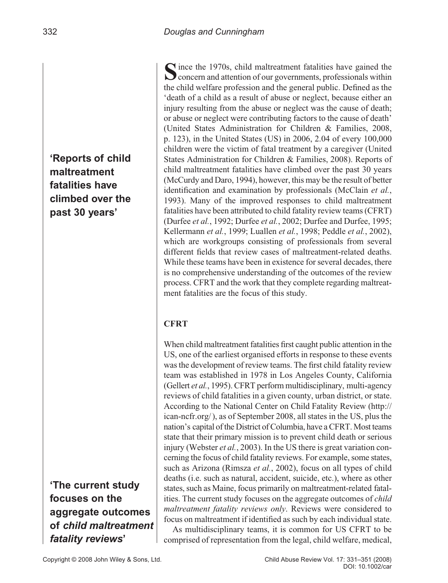**'Reports of child maltreatment fatalities have climbed over the past 30 years'**

**'The current study focuses on the aggregate outcomes of** *child maltreatment fatality reviews***'**

**S**ince the 1970s, child maltreatment fatalities have gained the **Concern and attention of our governments, professionals within** the child welfare profession and the general public. Defined as the 'death of a child as a result of abuse or neglect, because either an injury resulting from the abuse or neglect was the cause of death; or abuse or neglect were contributing factors to the cause of death' (United States Administration for Children & Families, 2008, p. 123), in the United States (US) in 2006, 2.04 of every 100,000 children were the victim of fatal treatment by a caregiver (United States Administration for Children & Families, 2008). Reports of child maltreatment fatalities have climbed over the past 30 years (McCurdy and Daro, 1994), however, this may be the result of better identification and examination by professionals (McClain *et al.*, 1993). Many of the improved responses to child maltreatment fatalities have been attributed to child fatality review teams (CFRT) (Durfee *et al.*, 1992; Durfee *et al.*, 2002; Durfee and Durfee, 1995; Kellermann *et al.*, 1999; Luallen *et al.*, 1998; Peddle *et al.*, 2002), which are workgroups consisting of professionals from several different fields that review cases of maltreatment-related deaths. While these teams have been in existence for several decades, there is no comprehensive understanding of the outcomes of the review process. CFRT and the work that they complete regarding maltreatment fatalities are the focus of this study.

# **CFRT**

When child maltreatment fatalities first caught public attention in the US, one of the earliest organised efforts in response to these events was the development of review teams. The first child fatality review team was established in 1978 in Los Angeles County, California (Gellert *et al.*, 1995). CFRT perform multidisciplinary, multi-agency reviews of child fatalities in a given county, urban district, or state. According to the National Center on Child Fatality Review (http:// [ican-ncfr.org/\), as of September 2008, all states in the US, plus the](http://ican-ncfr.org/) nation's capital of the District of Columbia, have a CFRT. Most teams state that their primary mission is to prevent child death or serious injury (Webster *et al.*, 2003). In the US there is great variation concerning the focus of child fatality reviews. For example, some states, such as Arizona (Rimsza *et al.*, 2002), focus on all types of child deaths (i.e. such as natural, accident, suicide, etc.), where as other states, such as Maine, focus primarily on maltreatment-related fatalities. The current study focuses on the aggregate outcomes of *child maltreatment fatality reviews only*. Reviews were considered to focus on maltreatment if identified as such by each individual state.

As multidisciplinary teams, it is common for US CFRT to be comprised of representation from the legal, child welfare, medical,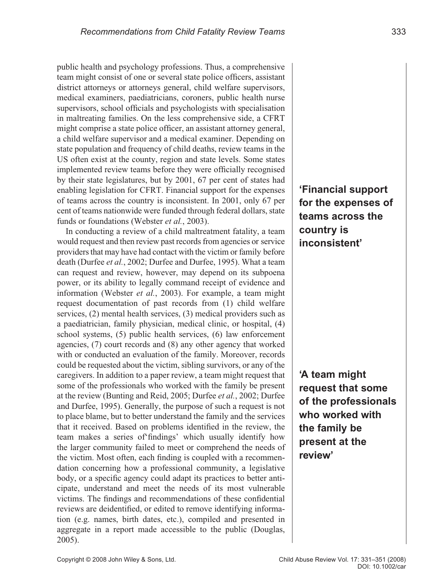public health and psychology professions. Thus, a comprehensive team might consist of one or several state police officers, assistant district attorneys or attorneys general, child welfare supervisors, medical examiners, paediatricians, coroners, public health nurse supervisors, school officials and psychologists with specialisation in maltreating families. On the less comprehensive side, a CFRT might comprise a state police officer, an assistant attorney general, a child welfare supervisor and a medical examiner. Depending on state population and frequency of child deaths, review teams in the US often exist at the county, region and state levels. Some states implemented review teams before they were officially recognised by their state legislatures, but by 2001, 67 per cent of states had enabling legislation for CFRT. Financial support for the expenses of teams across the country is inconsistent. In 2001, only 67 per cent of teams nationwide were funded through federal dollars, state funds or foundations (Webster *et al.*, 2003).

In conducting a review of a child maltreatment fatality, a team would request and then review past records from agencies or service providers that may have had contact with the victim or family before death (Durfee *et al.*, 2002; Durfee and Durfee, 1995). What a team can request and review, however, may depend on its subpoena power, or its ability to legally command receipt of evidence and information (Webster *et al.*, 2003). For example, a team might request documentation of past records from (1) child welfare services, (2) mental health services, (3) medical providers such as a paediatrician, family physician, medical clinic, or hospital, (4) school systems, (5) public health services, (6) law enforcement agencies, (7) court records and (8) any other agency that worked with or conducted an evaluation of the family. Moreover, records could be requested about the victim, sibling survivors, or any of the caregivers. In addition to a paper review, a team might request that some of the professionals who worked with the family be present at the review (Bunting and Reid, 2005; Durfee *et al.*, 2002; Durfee and Durfee, 1995). Generally, the purpose of such a request is not to place blame, but to better understand the family and the services that it received. Based on problems identified in the review, the team makes a series of'findings' which usually identify how the larger community failed to meet or comprehend the needs of the victim. Most often, each finding is coupled with a recommendation concerning how a professional community, a legislative body, or a specific agency could adapt its practices to better anticipate, understand and meet the needs of its most vulnerable victims. The findings and recommendations of these confidential reviews are deidentified, or edited to remove identifying information (e.g. names, birth dates, etc.), compiled and presented in aggregate in a report made accessible to the public (Douglas, 2005).

**'Financial support for the expenses of teams across the country is inconsistent'**

**'A team might request that some of the professionals who worked with the family be present at the review'**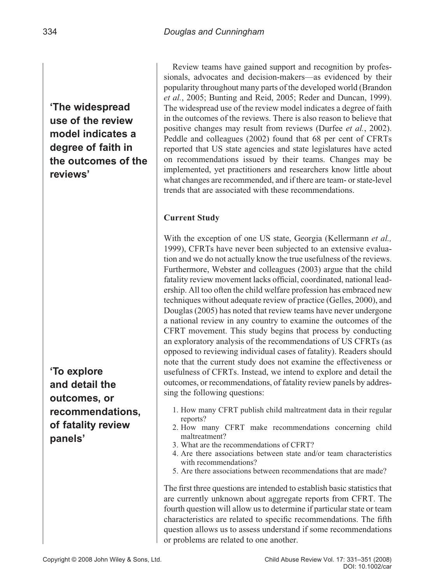**'The widespread use of the review model indicates a degree of faith in the outcomes of the reviews'**

**'To explore and detail the outcomes, or recommendations, of fatality review panels'**

Review teams have gained support and recognition by professionals, advocates and decision-makers—as evidenced by their popularity throughout many parts of the developed world (Brandon *et al.*, 2005; Bunting and Reid, 2005; Reder and Duncan, 1999). The widespread use of the review model indicates a degree of faith in the outcomes of the reviews. There is also reason to believe that positive changes may result from reviews (Durfee *et al.*, 2002). Peddle and colleagues (2002) found that 68 per cent of CFRTs reported that US state agencies and state legislatures have acted on recommendations issued by their teams. Changes may be implemented, yet practitioners and researchers know little about what changes are recommended, and if there are team- or state-level trends that are associated with these recommendations.

# **Current Study**

With the exception of one US state, Georgia (Kellermann *et al.,* 1999), CFRTs have never been subjected to an extensive evaluation and we do not actually know the true usefulness of the reviews. Furthermore, Webster and colleagues (2003) argue that the child fatality review movement lacks official, coordinated, national leadership. All too often the child welfare profession has embraced new techniques without adequate review of practice (Gelles, 2000), and Douglas (2005) has noted that review teams have never undergone a national review in any country to examine the outcomes of the CFRT movement. This study begins that process by conducting an exploratory analysis of the recommendations of US CFRTs (as opposed to reviewing individual cases of fatality). Readers should note that the current study does not examine the effectiveness or usefulness of CFRTs. Instead, we intend to explore and detail the outcomes, or recommendations, of fatality review panels by addressing the following questions:

- 1. How many CFRT publish child maltreatment data in their regular reports?
- 2. How many CFRT make recommendations concerning child maltreatment?
- 3. What are the recommendations of CFRT?
- 4. Are there associations between state and/or team characteristics with recommendations?
- 5. Are there associations between recommendations that are made?

The first three questions are intended to establish basic statistics that are currently unknown about aggregate reports from CFRT. The fourth question will allow us to determine if particular state or team characteristics are related to specific recommendations. The fifth question allows us to assess understand if some recommendations or problems are related to one another.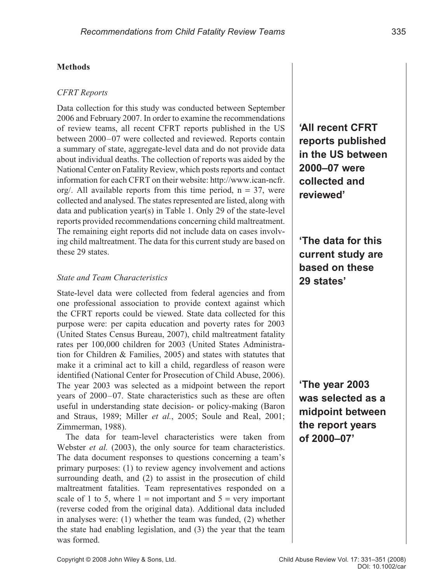# **Methods**

#### *CFRT Reports*

Data collection for this study was conducted between September 2006 and February 2007. In order to examine the recommendations of review teams, all recent CFRT reports published in the US between 2000–07 were collected and reviewed. Reports contain a summary of state, aggregate-level data and do not provide data about individual deaths. The collection of reports was aided by the National Center on Fatality Review, which posts reports and contact [information for each CFRT on their website: http://www.ican-ncfr.](http://www.ican-ncfr.org/) org/. All available reports from this time period,  $n = 37$ , were collected and analysed. The states represented are listed, along with data and publication year(s) in Table 1. Only 29 of the state-level reports provided recommendations concerning child maltreatment. The remaining eight reports did not include data on cases involving child maltreatment. The data for this current study are based on these 29 states.

#### *State and Team Characteristics*

State-level data were collected from federal agencies and from one professional association to provide context against which the CFRT reports could be viewed. State data collected for this purpose were: per capita education and poverty rates for 2003 (United States Census Bureau, 2007), child maltreatment fatality rates per 100,000 children for 2003 (United States Administration for Children & Families, 2005) and states with statutes that make it a criminal act to kill a child, regardless of reason were identified (National Center for Prosecution of Child Abuse, 2006). The year 2003 was selected as a midpoint between the report years of 2000–07. State characteristics such as these are often useful in understanding state decision- or policy-making (Baron and Straus, 1989; Miller *et al.*, 2005; Soule and Real, 2001; Zimmerman, 1988).

The data for team-level characteristics were taken from Webster *et al.* (2003), the only source for team characteristics. The data document responses to questions concerning a team's primary purposes: (1) to review agency involvement and actions surrounding death, and (2) to assist in the prosecution of child maltreatment fatalities. Team representatives responded on a scale of 1 to 5, where  $1 = not important$  and  $5 = very important$ (reverse coded from the original data). Additional data included in analyses were: (1) whether the team was funded, (2) whether the state had enabling legislation, and (3) the year that the team was formed.

**'All recent CFRT reports published in the US between 2000–07 were collected and reviewed'**

# **'The data for this current study are based on these 29 states'**

**'The year 2003 was selected as a midpoint between the report years of 2000–07'**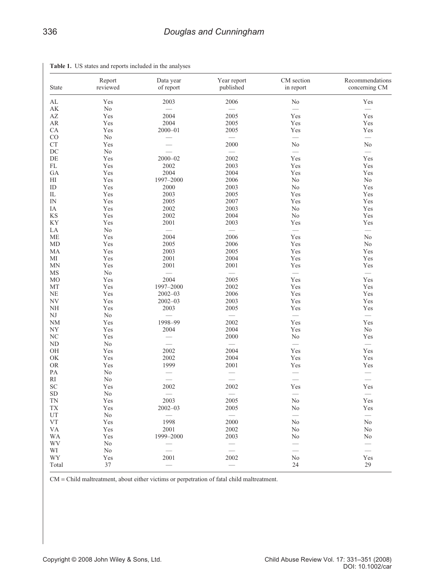| <b>State</b>   | Report<br>reviewed | Data year<br>of report   | Year report<br>published        | CM section<br>in report  | Recommendations<br>concerning CM |  |  |
|----------------|--------------------|--------------------------|---------------------------------|--------------------------|----------------------------------|--|--|
|                |                    |                          |                                 |                          |                                  |  |  |
| AL             | Yes                | 2003                     | 2006                            | No                       | Yes                              |  |  |
| AK             | No                 |                          |                                 | $\overline{\phantom{0}}$ |                                  |  |  |
| AZ             | Yes                | 2004                     | 2005                            | Yes                      | Yes                              |  |  |
| AR             | Yes                | 2004                     | 2005                            | Yes                      | Yes                              |  |  |
| CA             | Yes                | $2000 - 01$              | 2005                            | Yes                      | Yes                              |  |  |
| CO             | N <sub>o</sub>     |                          |                                 |                          |                                  |  |  |
| <b>CT</b>      | Yes                |                          | 2000                            | No                       | N <sub>0</sub>                   |  |  |
| DC             | No                 |                          | $\frac{1}{2}$                   |                          |                                  |  |  |
| DE             | Yes                | $2000 - 02$              | 2002                            | Yes                      | Yes                              |  |  |
| FL             | Yes                | 2002                     | 2003                            | Yes                      | Yes                              |  |  |
| GA             | Yes                | 2004                     | 2004                            | Yes                      | Yes                              |  |  |
| H              | Yes                | 1997-2000                | 2006                            | No                       | N <sub>0</sub>                   |  |  |
| ID             | Yes                | 2000                     | 2003                            | No                       | Yes                              |  |  |
| IL             | Yes                | 2003                     | 2005                            | Yes                      | Yes                              |  |  |
| IN             | Yes                | 2005                     | 2007                            | Yes                      | Yes                              |  |  |
| IA             | Yes                | 2002                     | 2003                            | No                       | Yes                              |  |  |
| <b>KS</b>      | Yes                | 2002                     | 2004                            | No                       | Yes                              |  |  |
| KY             | Yes                | 2001                     | 2003                            | Yes                      | Yes                              |  |  |
| LA             | No                 |                          |                                 |                          |                                  |  |  |
| <b>ME</b>      | Yes                | 2004                     | 2006                            | Yes                      | N <sub>0</sub>                   |  |  |
| MD             | Yes                | 2005                     | 2006                            | Yes                      | N <sub>0</sub>                   |  |  |
| MA             | Yes                | 2003                     | 2005                            | Yes                      | Yes                              |  |  |
| MI             | Yes                | 2001                     | 2004                            | Yes                      | Yes                              |  |  |
| MN             | Yes                | 2001                     | 2001                            | Yes                      | Yes                              |  |  |
| MS             | No                 |                          |                                 |                          |                                  |  |  |
| M <sub>O</sub> | Yes                | 2004                     | 2005                            | Yes                      | Yes                              |  |  |
| MT             | Yes                | 1997-2000                | 2002                            | Yes                      | Yes                              |  |  |
| <b>NE</b>      | Yes                | $2002 - 03$              | 2006                            | Yes                      | Yes                              |  |  |
| NV             | Yes                | $2002 - 03$              | 2003                            | Yes                      | Yes                              |  |  |
| NH             | Yes                | 2003                     | 2005                            | Yes                      | Yes                              |  |  |
| NJ             | $\rm No$           |                          |                                 |                          | ÷.                               |  |  |
| <b>NM</b>      | Yes                | 1998-99                  | 2002                            | Yes                      | Yes                              |  |  |
| NY             | Yes                | 2004                     | 2004                            | Yes                      | N <sub>0</sub>                   |  |  |
| NC             | Yes                |                          | 2000                            | No                       | Yes                              |  |  |
| <b>ND</b>      | No                 |                          |                                 |                          |                                  |  |  |
| OH             | Yes                | 2002                     | 2004                            | Yes                      | Yes                              |  |  |
| OK             | Yes                | 2002                     | 2004                            | Yes                      | Yes                              |  |  |
| <b>OR</b>      | Yes                | 1999                     | 2001                            | Yes                      | Yes                              |  |  |
| PA             | N <sub>0</sub>     |                          | $\overbrace{\qquad \qquad }^{}$ |                          |                                  |  |  |
| RI             | No                 | $\equiv$                 | $\overline{\phantom{0}}$        | $\overline{\phantom{0}}$ | $\overline{\phantom{0}}$         |  |  |
| <b>SC</b>      | Yes                | 2002                     | 2002                            | Yes                      | Yes                              |  |  |
| <b>SD</b>      | No                 |                          |                                 |                          |                                  |  |  |
| <b>TN</b>      | Yes                | 2003                     | 2005                            | No                       | Yes                              |  |  |
| <b>TX</b>      | Yes                | $2002 - 03$              | 2005                            | No                       | Yes                              |  |  |
| UT             | No                 | $\overline{\phantom{a}}$ |                                 |                          |                                  |  |  |
| <b>VT</b>      | Yes                | 1998                     | 2000                            | No                       | No                               |  |  |
| VA             | Yes                | 2001                     | 2002                            | No                       | No                               |  |  |
| WA             | Yes                | 1999-2000                | 2003                            | No                       | No                               |  |  |
| WV             | No                 |                          |                                 |                          |                                  |  |  |
| WI             | No                 | $\overline{\phantom{0}}$ |                                 | $\overline{\phantom{0}}$ | $\overline{\phantom{0}}$         |  |  |
| WY             | Yes                | 2001                     | 2002                            | No                       | Yes                              |  |  |
| Total          | 37                 |                          |                                 | 24                       | 29                               |  |  |

**Table 1.** US states and reports included in the analyses

CM = Child maltreatment, about either victims or perpetration of fatal child maltreatment.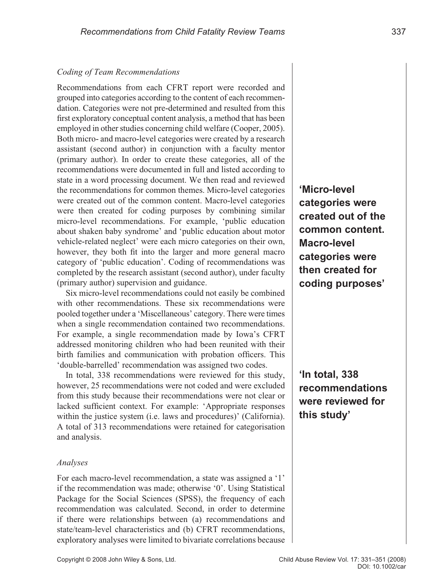#### *Coding of Team Recommendations*

Recommendations from each CFRT report were recorded and grouped into categories according to the content of each recommendation. Categories were not pre-determined and resulted from this first exploratory conceptual content analysis, a method that has been employed in other studies concerning child welfare (Cooper, 2005). Both micro- and macro-level categories were created by a research assistant (second author) in conjunction with a faculty mentor (primary author). In order to create these categories, all of the recommendations were documented in full and listed according to state in a word processing document. We then read and reviewed the recommendations for common themes. Micro-level categories were created out of the common content. Macro-level categories were then created for coding purposes by combining similar micro-level recommendations. For example, 'public education about shaken baby syndrome' and 'public education about motor vehicle-related neglect' were each micro categories on their own, however, they both fit into the larger and more general macro category of 'public education'. Coding of recommendations was completed by the research assistant (second author), under faculty (primary author) supervision and guidance.

Six micro-level recommendations could not easily be combined with other recommendations. These six recommendations were pooled together under a 'Miscellaneous' category. There were times when a single recommendation contained two recommendations. For example, a single recommendation made by Iowa's CFRT addressed monitoring children who had been reunited with their birth families and communication with probation officers. This 'double-barrelled' recommendation was assigned two codes.

In total, 338 recommendations were reviewed for this study, however, 25 recommendations were not coded and were excluded from this study because their recommendations were not clear or lacked sufficient context. For example: 'Appropriate responses within the justice system (i.e. laws and procedures)' (California). A total of 313 recommendations were retained for categorisation and analysis.

#### *Analyses*

For each macro-level recommendation, a state was assigned a '1' if the recommendation was made; otherwise '0'. Using Statistical Package for the Social Sciences (SPSS), the frequency of each recommendation was calculated. Second, in order to determine if there were relationships between (a) recommendations and state/team-level characteristics and (b) CFRT recommendations, exploratory analyses were limited to bivariate correlations because

**'Micro-level categories were created out of the common content. Macro-level categories were then created for coding purposes'**

**'In total, 338 recommendations were reviewed for this study'**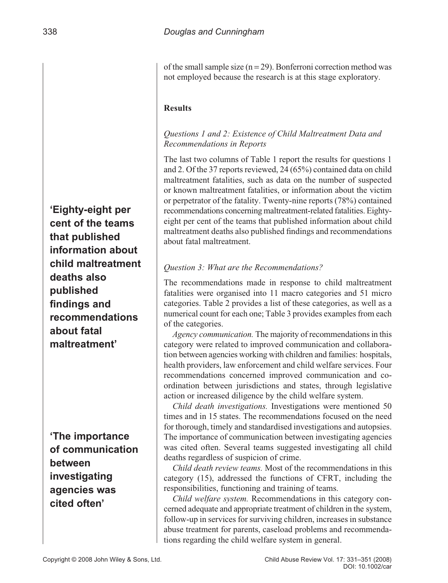of the small sample size  $(n = 29)$ . Bonferroni correction method was not employed because the research is at this stage exploratory.

# **Results**

# *Questions 1 and 2: Existence of Child Maltreatment Data and Recommendations in Reports*

The last two columns of Table 1 report the results for questions 1 and 2. Of the 37 reports reviewed, 24 (65%) contained data on child maltreatment fatalities, such as data on the number of suspected or known maltreatment fatalities, or information about the victim or perpetrator of the fatality. Twenty-nine reports (78%) contained recommendations concerning maltreatment-related fatalities. Eightyeight per cent of the teams that published information about child maltreatment deaths also published findings and recommendations about fatal maltreatment.

# *Question 3: What are the Recommendations?*

The recommendations made in response to child maltreatment fatalities were organised into 11 macro categories and 51 micro categories. Table 2 provides a list of these categories, as well as a numerical count for each one; Table 3 provides examples from each of the categories.

*Agency communication.* The majority of recommendations in this category were related to improved communication and collaboration between agencies working with children and families: hospitals, health providers, law enforcement and child welfare services. Four recommendations concerned improved communication and coordination between jurisdictions and states, through legislative action or increased diligence by the child welfare system.

*Child death investigations.* Investigations were mentioned 50 times and in 15 states. The recommendations focused on the need for thorough, timely and standardised investigations and autopsies. The importance of communication between investigating agencies was cited often. Several teams suggested investigating all child deaths regardless of suspicion of crime.

*Child death review teams.* Most of the recommendations in this category (15), addressed the functions of CFRT, including the responsibilities, functioning and training of teams.

*Child welfare system.* Recommendations in this category concerned adequate and appropriate treatment of children in the system, follow-up in services for surviving children, increases in substance abuse treatment for parents, caseload problems and recommendations regarding the child welfare system in general.

**'Eighty-eight per cent of the teams that published information about child maltreatment deaths also published findings and recommendations about fatal maltreatment'**

**'The importance of communication between investigating agencies was cited often'**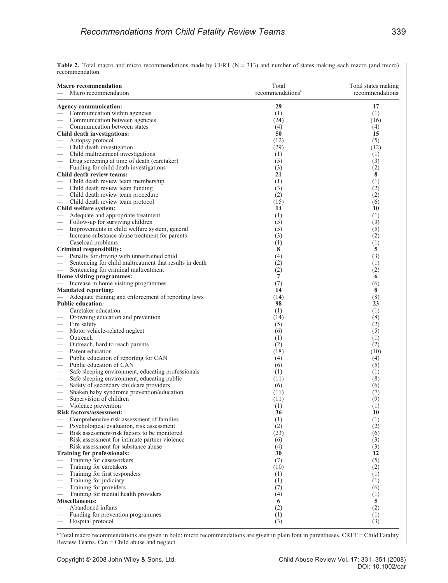**Table 2.** Total macro and micro recommendations made by CFRT (N = 313) and number of states making each macro (and micro) recommendation

| <b>Macro recommendation</b><br>Micro recommendation                     | Total<br>recommendations <sup>a</sup> | Total states making<br>recommendations |
|-------------------------------------------------------------------------|---------------------------------------|----------------------------------------|
| <b>Agency communication:</b>                                            | 29                                    | 17                                     |
| Communication within agencies                                           | (1)                                   | (1)                                    |
| Communication between agencies                                          | (24)                                  | (16)                                   |
| Communication between states                                            | (4)                                   | (4)                                    |
| Child death investigations:                                             | 50                                    | 15                                     |
| Autopsy protocol                                                        | (12)                                  | (5)                                    |
| Child death investigation                                               | (29)                                  | (12)                                   |
| Child maltreatment investigations                                       | (1)                                   | (1)                                    |
| Drug screening at time of death (caretaker)                             | (5)                                   | (3)                                    |
| Funding for child death investigations<br>$\hspace{0.05cm}$             | (3)                                   | (2)                                    |
| Child death review teams:                                               | 21                                    | 8                                      |
| Child death review team membership                                      | (1)                                   | (1)                                    |
| Child death review team funding                                         | (3)                                   | (2)                                    |
| Child death review team procedure                                       | (2)                                   | (2)                                    |
| Child death review team protocol<br>$\hspace{0.1mm}-\hspace{0.1mm}$     | (15)                                  | (6)                                    |
| Child welfare system:                                                   | 14                                    | 10                                     |
| Adequate and appropriate treatment                                      | (1)                                   | (1)                                    |
| Follow-up for surviving children                                        | (5)                                   | (3)                                    |
| Improvements in child welfare system, general                           | (5)                                   | (5)                                    |
| Increase substance abuse treatment for parents<br>Caseload problems     | (3)                                   | (2)                                    |
|                                                                         | (1)<br>8                              | (1)<br>5                               |
| Criminal responsibility:<br>Penalty for driving with unrestrained child | (4)                                   | (3)                                    |
| Sentencing for child maltreatment that results in death                 |                                       | (1)                                    |
| Sentencing for criminal maltreatment                                    | (2)<br>(2)                            | (2)                                    |
| Home visiting programmes:                                               | 7                                     | 6                                      |
| Increase in home visiting programmes                                    | (7)                                   | (6)                                    |
| <b>Mandated reporting:</b>                                              | 14                                    | 8                                      |
| Adequate training and enforcement of reporting laws                     | (14)                                  | (8)                                    |
| <b>Public education:</b>                                                | 98                                    | 23                                     |
| Caretaker education                                                     | (1)                                   | (1)                                    |
| Drowning education and prevention                                       | (14)                                  | (8)                                    |
| Fire safety                                                             | (5)                                   | (2)                                    |
| Motor vehicle-related neglect                                           | (6)                                   | (5)                                    |
| Outreach                                                                | (1)                                   | (1)                                    |
| Outreach, hard to reach parents                                         | (2)                                   | (2)                                    |
| Parent education                                                        | (18)                                  | (10)                                   |
| Public education of reporting for CAN                                   | (4)                                   | (4)                                    |
| Public education of CAN                                                 | (6)                                   | (5)                                    |
| Safe sleeping environment, educating professionals                      | (1)                                   | (1)                                    |
| Safe sleeping environment, educating public                             | (11)                                  | (8)                                    |
| Safety of secondary childcare providers                                 | (6)                                   | (6)                                    |
| Shaken baby syndrome prevention/education                               | (11)                                  | (7)                                    |
| Supervision of children                                                 | (11)                                  | (9)                                    |
| Violence prevention<br>$\hspace{0.05cm}$                                | (1)                                   | (1)                                    |
| <b>Risk factors/assessment:</b>                                         | 36                                    | 10                                     |
| Comprehensive risk assessment of families                               | (1)                                   | (1)                                    |
| Psychological evaluation, risk assessment                               | (2)                                   | (2)                                    |
| Risk assessment/risk factors to be monitored                            | (23)                                  | (6)                                    |
| Risk assessment for intimate partner violence                           | (6)                                   | (3)                                    |
| Risk assessment for substance abuse                                     | (4)                                   | (3)                                    |
| Training for professionals:                                             | 30                                    | 12                                     |
| Training for caseworkers                                                | (7)                                   | (5)                                    |
| Training for caretakers                                                 | (10)                                  | (2)                                    |
| Training for first responders                                           | (1)                                   | (1)                                    |
| Training for judiciary                                                  | (1)                                   | (1)                                    |
| Training for providers                                                  | (7)                                   | (6)                                    |
| Training for mental health providers<br><b>Miscellaneous:</b>           | (4)                                   | (1)                                    |
| Abandoned infants                                                       | 6                                     | 5                                      |
|                                                                         | (2)                                   | (2)                                    |
| Funding for prevention programmes<br>Hospital protocol                  | (1)<br>(3)                            | (1)<br>(3)                             |
|                                                                         |                                       |                                        |

<sup>a</sup> Total macro recommendations are given in bold; micro recommendations are given in plain font in parentheses. CRFT = Child Fatality Review Teams. Can = Child abuse and neglect.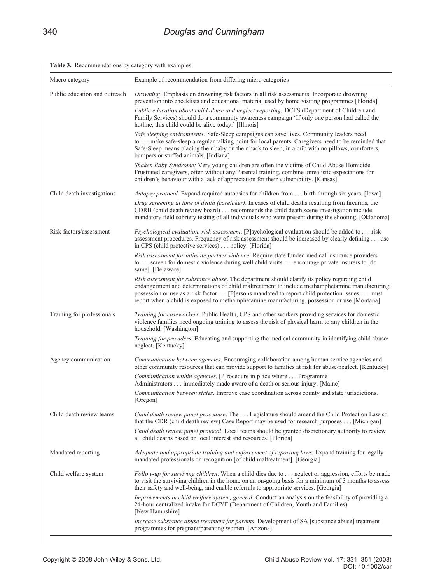#### **Table 3.** Recommendations by category with examples

| Macro category                | Example of recommendation from differing micro categories                                                                                                                                                                                                                                                                                                                                         |  |  |  |  |  |
|-------------------------------|---------------------------------------------------------------------------------------------------------------------------------------------------------------------------------------------------------------------------------------------------------------------------------------------------------------------------------------------------------------------------------------------------|--|--|--|--|--|
| Public education and outreach | <i>Drowning</i> : Emphasis on drowning risk factors in all risk assessments. Incorporate drowning<br>prevention into checklists and educational material used by home visiting programmes [Florida]                                                                                                                                                                                               |  |  |  |  |  |
|                               | Public education about child abuse and neglect-reporting: DCFS (Department of Children and<br>Family Services) should do a community awareness campaign 'If only one person had called the<br>hotline, this child could be alive today.' [Illinois]                                                                                                                                               |  |  |  |  |  |
|                               | Safe sleeping environments: Safe-Sleep campaigns can save lives. Community leaders need<br>to  make safe-sleep a regular talking point for local parents. Caregivers need to be reminded that<br>Safe-Sleep means placing their baby on their back to sleep, in a crib with no pillows, comforters,<br>bumpers or stuffed animals. [Indiana]                                                      |  |  |  |  |  |
|                               | Shaken Baby Syndrome: Very young children are often the victims of Child Abuse Homicide.<br>Frustrated caregivers, often without any Parental training, combine unrealistic expectations for<br>children's behaviour with a lack of appreciation for their vulnerability. [Kansas]                                                                                                                |  |  |  |  |  |
| Child death investigations    | Autopsy protocol. Expand required autopsies for children from birth through six years. [Iowa]                                                                                                                                                                                                                                                                                                     |  |  |  |  |  |
|                               | Drug screening at time of death (caretaker). In cases of child deaths resulting from firearms, the<br>CDRB (child death review board) recommends the child death scene investigation include<br>mandatory field sobriety testing of all individuals who were present during the shooting. [Oklahoma]                                                                                              |  |  |  |  |  |
| Risk factors/assessment       | <i>Psychological evaluation, risk assessment.</i> [P]sychological evaluation should be added to risk<br>assessment procedures. Frequency of risk assessment should be increased by clearly defining use<br>in CPS (child protective services)  policy. [Florida]                                                                                                                                  |  |  |  |  |  |
|                               | Risk assessment for intimate partner violence. Require state funded medical insurance providers<br>to  screen for domestic violence during well child visits  encourage private insurers to [do<br>same]. [Delaware]                                                                                                                                                                              |  |  |  |  |  |
|                               | Risk assessment for substance abuse. The department should clarify its policy regarding child<br>endangerment and determinations of child maltreatment to include methamphetamine manufacturing,<br>possession or use as a risk factor [P] ersons mandated to report child protection issues must<br>report when a child is exposed to methamphetamine manufacturing, possession or use [Montana] |  |  |  |  |  |
| Training for professionals    | <i>Training for caseworkers.</i> Public Health, CPS and other workers providing services for domestic<br>violence families need ongoing training to assess the risk of physical harm to any children in the<br>household. [Washington]                                                                                                                                                            |  |  |  |  |  |
|                               | <i>Training for providers.</i> Educating and supporting the medical community in identifying child abuse/<br>neglect. [Kentucky]                                                                                                                                                                                                                                                                  |  |  |  |  |  |
| Agency communication          | <i>Communication between agencies.</i> Encouraging collaboration among human service agencies and<br>other community resources that can provide support to families at risk for abuse/neglect. [Kentucky]                                                                                                                                                                                         |  |  |  |  |  |
|                               | Communication within agencies. [P] rocedure in place where Programme<br>Administrators immediately made aware of a death or serious injury. [Maine]                                                                                                                                                                                                                                               |  |  |  |  |  |
|                               | Communication between states. Improve case coordination across county and state jurisdictions.<br>[Oregon]                                                                                                                                                                                                                                                                                        |  |  |  |  |  |
| Child death review teams      | Child death review panel procedure. The  Legislature should amend the Child Protection Law so<br>that the CDR (child death review) Case Report may be used for research purposes [Michigan]                                                                                                                                                                                                       |  |  |  |  |  |
|                               | Child death review panel protocol. Local teams should be granted discretionary authority to review<br>all child deaths based on local interest and resources. [Florida]                                                                                                                                                                                                                           |  |  |  |  |  |
| Mandated reporting            | Adequate and appropriate training and enforcement of reporting laws. Expand training for legally<br>mandated professionals on recognition [of child maltreatment]. [Georgia]                                                                                                                                                                                                                      |  |  |  |  |  |
| Child welfare system          | Follow-up for surviving children. When a child dies due to neglect or aggression, efforts be made<br>to visit the surviving children in the home on an on-going basis for a minimum of 3 months to assess<br>their safety and well-being, and enable referrals to appropriate services. [Georgia]                                                                                                 |  |  |  |  |  |
|                               | Improvements in child welfare system, general. Conduct an analysis on the feasibility of providing a<br>24-hour centralized intake for DCYF (Department of Children, Youth and Families).<br>[New Hampshire]                                                                                                                                                                                      |  |  |  |  |  |
|                               | Increase substance abuse treatment for parents. Development of SA [substance abuse] treatment<br>programmes for pregnant/parenting women. [Arizona]                                                                                                                                                                                                                                               |  |  |  |  |  |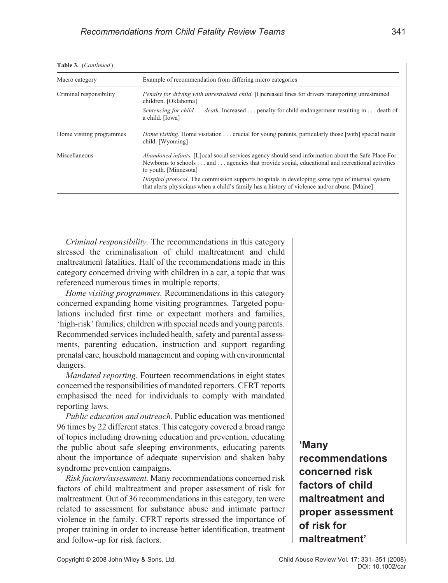| Macro category           | Example of recommendation from differing micro categories                                                                                                                                                                            |  |  |  |  |  |
|--------------------------|--------------------------------------------------------------------------------------------------------------------------------------------------------------------------------------------------------------------------------------|--|--|--|--|--|
| Criminal responsibility  | <i>Penalty for driving with unrestrained child.</i> [I]ncreased fines for drivers transporting unrestrained<br>children. [Oklahoma]                                                                                                  |  |  |  |  |  |
|                          | Sentencing for child death. Increased penalty for child endangerment resulting in death of<br>a child. [Iowa]                                                                                                                        |  |  |  |  |  |
| Home visiting programmes | <i>Home visiting.</i> Home visitation crucial for young parents, particularly those [with] special needs<br>child. [Wyoming]                                                                                                         |  |  |  |  |  |
| Miscellaneous            | <i>Abandoned infants.</i> [L] ocal social services agency should send information about the Safe Place For<br>Newborns to schools and agencies that provide social, educational and recreational activities<br>to youth. [Minnesota] |  |  |  |  |  |
|                          | <i>Hospital protocol.</i> The commission supports hospitals in developing some type of internal system<br>that alerts physicians when a child's family has a history of violence and/or abuse. [Maine]                               |  |  |  |  |  |

**Table 3.** (*Continued*)

*Criminal responsibility.* The recommendations in this category stressed the criminalisation of child maltreatment and child maltreatment fatalities. Half of the recommendations made in this category concerned driving with children in a car, a topic that was referenced numerous times in multiple reports.

*Home visiting programmes.* Recommendations in this category concerned expanding home visiting programmes. Targeted populations included first time or expectant mothers and families, 'high-risk' families, children with special needs and young parents. Recommended services included health, safety and parental assessments, parenting education, instruction and support regarding prenatal care, household management and coping with environmental dangers.

*Mandated reporting.* Fourteen recommendations in eight states concerned the responsibilities of mandated reporters. CFRT reports emphasised the need for individuals to comply with mandated reporting laws.

*Public education and outreach.* Public education was mentioned 96 times by 22 different states. This category covered a broad range of topics including drowning education and prevention, educating the public about safe sleeping environments, educating parents about the importance of adequate supervision and shaken baby syndrome prevention campaigns.

*Risk factors/assessment.* Many recommendations concerned risk factors of child maltreatment and proper assessment of risk for maltreatment. Out of 36 recommendations in this category, ten were related to assessment for substance abuse and intimate partner violence in the family. CFRT reports stressed the importance of proper training in order to increase better identification, treatment and follow-up for risk factors.

**'Many recommendations concerned risk factors of child maltreatment and proper assessment of risk for maltreatment'**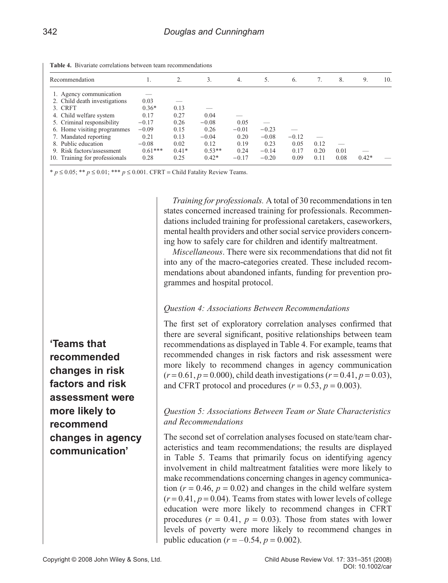| Recommendation                 | 1.        | 2.      | 3.       | 4.      | 5.      | 6.      | 7.   | 8.   | 9.      | 10. |
|--------------------------------|-----------|---------|----------|---------|---------|---------|------|------|---------|-----|
| 1. Agency communication        |           |         |          |         |         |         |      |      |         |     |
| 2. Child death investigations  | 0.03      |         |          |         |         |         |      |      |         |     |
| 3. CRFT                        | $0.36*$   | 0.13    |          |         |         |         |      |      |         |     |
| 4. Child welfare system        | 0.17      | 0.27    | 0.04     |         |         |         |      |      |         |     |
| 5. Criminal responsibility     | $-0.17$   | 0.26    | $-0.08$  | 0.05    |         |         |      |      |         |     |
| 6. Home visiting programmes    | $-0.09$   | 0.15    | 0.26     | $-0.01$ | $-0.23$ |         |      |      |         |     |
| 7. Mandated reporting          | 0.21      | 0.13    | $-0.04$  | 0.20    | $-0.08$ | $-0.12$ |      |      |         |     |
| 8. Public education            | $-0.08$   | 0.02    | 0.12     | 0.19    | 0.23    | 0.05    | 0.12 |      |         |     |
| 9. Risk factors/assessment     | $0.61***$ | $0.41*$ | $0.53**$ | 0.24    | $-0.14$ | 0.17    | 0.20 | 0.01 |         |     |
| 10. Training for professionals | 0.28      | 0.25    | $0.42*$  | $-0.17$ | $-0.20$ | 0.09    | 0.11 | 0.08 | $0.42*$ |     |

**Table 4.** Bivariate correlations between team recommendations

\* *p* ≤ 0.05; \*\* *p* ≤ 0.01; \*\*\* *p* ≤ 0.001. CFRT = Child Fatality Review Teams.

*Training for professionals.* A total of 30 recommendations in ten states concerned increased training for professionals. Recommendations included training for professional caretakers, caseworkers, mental health providers and other social service providers concerning how to safely care for children and identify maltreatment.

*Miscellaneous*. There were six recommendations that did not fit into any of the macro-categories created. These included recommendations about abandoned infants, funding for prevention programmes and hospital protocol.

#### *Question 4: Associations Between Recommendations*

The first set of exploratory correlation analyses confirmed that there are several significant, positive relationships between team recommendations as displayed in Table 4. For example, teams that recommended changes in risk factors and risk assessment were more likely to recommend changes in agency communication  $(r = 0.61, p = 0.000)$ , child death investigations  $(r = 0.41, p = 0.03)$ , and CFRT protocol and procedures ( $r = 0.53$ ,  $p = 0.003$ ).

#### *Question 5: Associations Between Team or State Characteristics and Recommendations*

The second set of correlation analyses focused on state/team characteristics and team recommendations; the results are displayed in Table 5. Teams that primarily focus on identifying agency involvement in child maltreatment fatalities were more likely to make recommendations concerning changes in agency communication  $(r = 0.46, p = 0.02)$  and changes in the child welfare system  $(r = 0.41, p = 0.04)$ . Teams from states with lower levels of college education were more likely to recommend changes in CFRT procedures  $(r = 0.41, p = 0.03)$ . Those from states with lower levels of poverty were more likely to recommend changes in public education ( $r = -0.54$ ,  $p = 0.002$ ).

**'Teams that recommended changes in risk factors and risk assessment were more likely to recommend changes in agency communication'**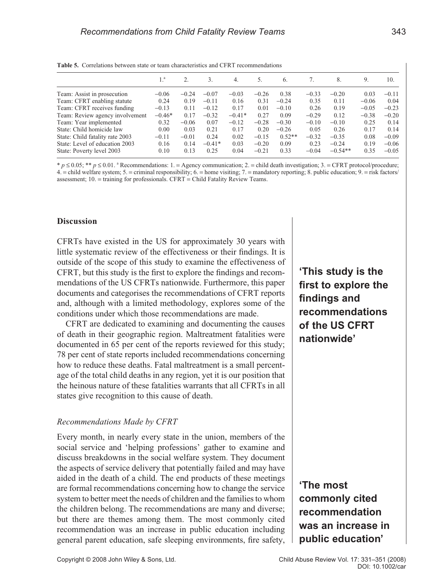|                                 | 1 <sup>a</sup> | 2.      | 3.       | 4.       | 5.      | 6.       |         | 8.        | 9.      | 10.     |  |
|---------------------------------|----------------|---------|----------|----------|---------|----------|---------|-----------|---------|---------|--|
| Team: Assist in prosecution     | $-0.06$        | $-0.24$ | $-0.07$  | $-0.03$  | $-0.26$ | 0.38     | $-0.33$ | $-0.20$   | 0.03    | $-0.11$ |  |
| Team: CFRT enabling statute     | 0.24           | 0.19    | $-0.11$  | 0.16     | 0.31    | $-0.24$  | 0.35    | 0.11      | $-0.06$ | 0.04    |  |
| Team: CFRT receives funding     | $-0.13$        | 0.11    | $-0.12$  | 0.17     | 0.01    | $-0.10$  | 0.26    | 0.19      | $-0.05$ | $-0.23$ |  |
| Team: Review agency involvement | $-0.46*$       | 0.17    | $-0.32$  | $-0.41*$ | 0.27    | 0.09     | $-0.29$ | 0.12      | $-0.38$ | $-0.20$ |  |
| Team: Year implemented          | 0.32           | $-0.06$ | 0.07     | $-0.12$  | $-0.28$ | $-0.30$  | $-0.10$ | $-0.10$   | 0.25    | 0.14    |  |
| State: Child homicide law       | 0.00           | 0.03    | 0.21     | 0.17     | 0.20    | $-0.26$  | 0.05    | 0.26      | 0.17    | 0.14    |  |
| State: Child fatality rate 2003 | $-0.11$        | $-0.01$ | 0.24     | 0.02     | $-0.15$ | $0.52**$ | $-0.32$ | $-0.35$   | 0.08    | $-0.09$ |  |
| State: Level of education 2003  | 0.16           | 0.14    | $-0.41*$ | 0.03     | $-0.20$ | 0.09     | 0.23    | $-0.24$   | 0.19    | $-0.06$ |  |
| State: Poverty level 2003       | 0.10           | 0.13    | 0.25     | 0.04     | $-0.21$ | 0.33     | $-0.04$ | $-0.54**$ | 0.35    | $-0.05$ |  |

**Table 5.** Correlations between state or team characteristics and CFRT recommendations

\* *p* ≤ 0.05; \*\* *p* ≤ 0.01. a Recommendations: 1. = Agency communication; 2. = child death investigation; 3. = CFRT protocol/procedure; 4. = child welfare system; 5. = criminal responsibility; 6. = home visiting; 7. = mandatory reporting; 8. public education; 9. = risk factors/ assessment; 10. = training for professionals. CFRT = Child Fatality Review Teams.

#### **Discussion**

CFRTs have existed in the US for approximately 30 years with little systematic review of the effectiveness or their findings. It is outside of the scope of this study to examine the effectiveness of CFRT, but this study is the first to explore the findings and recommendations of the US CFRTs nationwide. Furthermore, this paper documents and categorises the recommendations of CFRT reports and, although with a limited methodology, explores some of the conditions under which those recommendations are made.

CFRT are dedicated to examining and documenting the causes of death in their geographic region. Maltreatment fatalities were documented in 65 per cent of the reports reviewed for this study; 78 per cent of state reports included recommendations concerning how to reduce these deaths. Fatal maltreatment is a small percentage of the total child deaths in any region, yet it is our position that the heinous nature of these fatalities warrants that all CFRTs in all states give recognition to this cause of death.

#### *Recommendations Made by CFRT*

Every month, in nearly every state in the union, members of the social service and 'helping professions' gather to examine and discuss breakdowns in the social welfare system. They document the aspects of service delivery that potentially failed and may have aided in the death of a child. The end products of these meetings are formal recommendations concerning how to change the service system to better meet the needs of children and the families to whom the children belong. The recommendations are many and diverse; but there are themes among them. The most commonly cited recommendation was an increase in public education including general parent education, safe sleeping environments, fire safety,

**'This study is the first to explore the findings and recommendations of the US CFRT nationwide'**

**'The most commonly cited recommendation was an increase in public education'**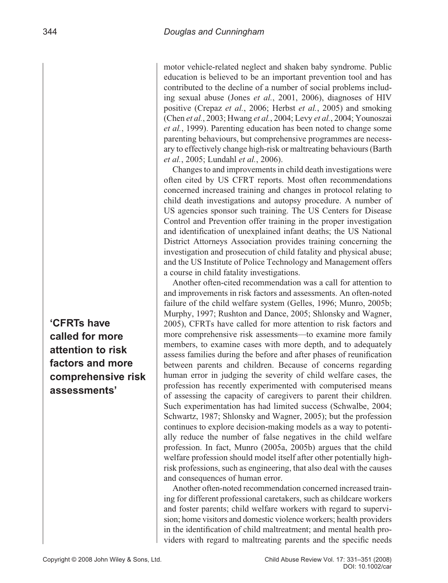motor vehicle-related neglect and shaken baby syndrome. Public education is believed to be an important prevention tool and has contributed to the decline of a number of social problems including sexual abuse (Jones *et al.*, 2001, 2006), diagnoses of HIV positive (Crepaz *et al.*, 2006; Herbst *et al.*, 2005) and smoking (Chen *et al.*, 2003; Hwang *et al.*, 2004; Levy *et al.*, 2004; Younoszai *et al.*, 1999). Parenting education has been noted to change some parenting behaviours, but comprehensive programmes are necessary to effectively change high-risk or maltreating behaviours (Barth *et al.*, 2005; Lundahl *et al.*, 2006).

Changes to and improvements in child death investigations were often cited by US CFRT reports. Most often recommendations concerned increased training and changes in protocol relating to child death investigations and autopsy procedure. A number of US agencies sponsor such training. The US Centers for Disease Control and Prevention offer training in the proper investigation and identification of unexplained infant deaths; the US National District Attorneys Association provides training concerning the investigation and prosecution of child fatality and physical abuse; and the US Institute of Police Technology and Management offers a course in child fatality investigations.

Another often-cited recommendation was a call for attention to and improvements in risk factors and assessments. An often-noted failure of the child welfare system (Gelles, 1996; Munro, 2005b; Murphy, 1997; Rushton and Dance, 2005; Shlonsky and Wagner, 2005), CFRTs have called for more attention to risk factors and more comprehensive risk assessments—to examine more family members, to examine cases with more depth, and to adequately assess families during the before and after phases of reunification between parents and children. Because of concerns regarding human error in judging the severity of child welfare cases, the profession has recently experimented with computerised means of assessing the capacity of caregivers to parent their children. Such experimentation has had limited success (Schwalbe, 2004; Schwartz, 1987; Shlonsky and Wagner, 2005); but the profession continues to explore decision-making models as a way to potentially reduce the number of false negatives in the child welfare profession. In fact, Munro (2005a, 2005b) argues that the child welfare profession should model itself after other potentially highrisk professions, such as engineering, that also deal with the causes and consequences of human error.

Another often-noted recommendation concerned increased training for different professional caretakers, such as childcare workers and foster parents; child welfare workers with regard to supervision; home visitors and domestic violence workers; health providers in the identification of child maltreatment; and mental health providers with regard to maltreating parents and the specific needs

**'CFRTs have called for more attention to risk factors and more comprehensive risk assessments'**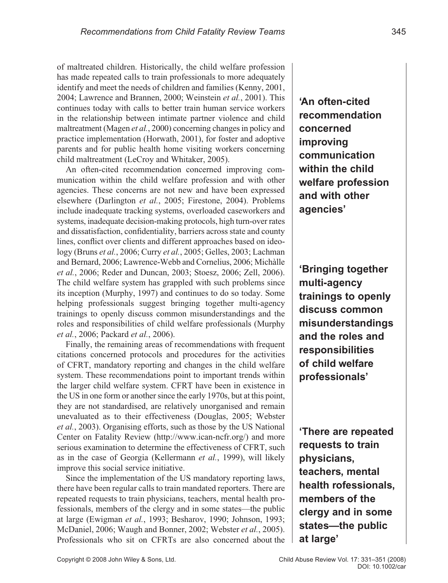of maltreated children. Historically, the child welfare profession has made repeated calls to train professionals to more adequately identify and meet the needs of children and families (Kenny, 2001, 2004; Lawrence and Brannen, 2000; Weinstein *et al.*, 2001). This continues today with calls to better train human service workers in the relationship between intimate partner violence and child maltreatment (Magen *et al.*, 2000) concerning changes in policy and practice implementation (Horwath, 2001), for foster and adoptive parents and for public health home visiting workers concerning child maltreatment (LeCroy and Whitaker, 2005).

An often-cited recommendation concerned improving communication within the child welfare profession and with other agencies. These concerns are not new and have been expressed elsewhere (Darlington *et al.*, 2005; Firestone, 2004). Problems include inadequate tracking systems, overloaded caseworkers and systems, inadequate decision-making protocols, high turn-over rates and dissatisfaction, confidentiality, barriers across state and county lines, conflict over clients and different approaches based on ideology (Bruns *et al.*, 2006; Curry *et al.*, 2005; Gelles, 2003; Lachman and Bernard, 2006; Lawrence-Webb and Cornelius, 2006; Michàlle *et al.*, 2006; Reder and Duncan, 2003; Stoesz, 2006; Zell, 2006). The child welfare system has grappled with such problems since its inception (Murphy, 1997) and continues to do so today. Some helping professionals suggest bringing together multi-agency trainings to openly discuss common misunderstandings and the roles and responsibilities of child welfare professionals (Murphy *et al.*, 2006; Packard *et al.*, 2006).

Finally, the remaining areas of recommendations with frequent citations concerned protocols and procedures for the activities of CFRT, mandatory reporting and changes in the child welfare system. These recommendations point to important trends within the larger child welfare system. CFRT have been in existence in the US in one form or another since the early 1970s, but at this point, they are not standardised, are relatively unorganised and remain unevaluated as to their effectiveness (Douglas, 2005; Webster *et al.*, 2003). Organising efforts, such as those by the US National Center on Fatality Review [\(http://www.ican-ncfr.org/\)](http://www.ican-ncfr.org/) and more serious examination to determine the effectiveness of CFRT, such as in the case of Georgia (Kellermann *et al.*, 1999), will likely improve this social service initiative.

Since the implementation of the US mandatory reporting laws, there have been regular calls to train mandated reporters. There are repeated requests to train physicians, teachers, mental health professionals, members of the clergy and in some states—the public at large (Ewigman *et al.*, 1993; Besharov, 1990; Johnson, 1993; McDaniel, 2006; Waugh and Bonner, 2002; Webster *et al.*, 2005). Professionals who sit on CFRTs are also concerned about the

**'An often-cited recommendation concerned improving communication within the child welfare profession and with other agencies'**

**'Bringing together multi-agency trainings to openly discuss common misunderstandings and the roles and responsibilities of child welfare professionals'**

**'There are repeated requests to train physicians, teachers, mental health rofessionals, members of the clergy and in some states—the public at large'**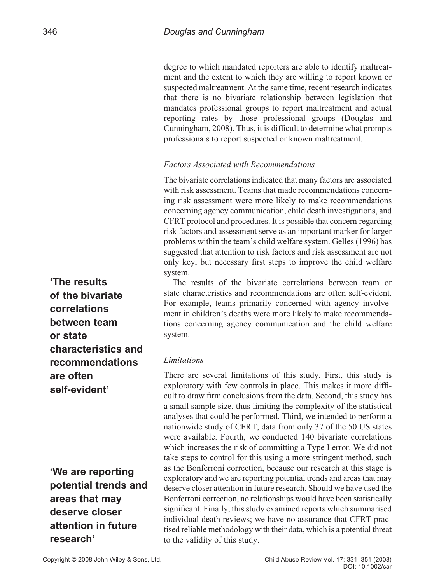degree to which mandated reporters are able to identify maltreatment and the extent to which they are willing to report known or suspected maltreatment. At the same time, recent research indicates that there is no bivariate relationship between legislation that mandates professional groups to report maltreatment and actual reporting rates by those professional groups (Douglas and Cunningham, 2008). Thus, it is difficult to determine what prompts professionals to report suspected or known maltreatment.

#### *Factors Associated with Recommendations*

The bivariate correlations indicated that many factors are associated with risk assessment. Teams that made recommendations concerning risk assessment were more likely to make recommendations concerning agency communication, child death investigations, and CFRT protocol and procedures. It is possible that concern regarding risk factors and assessment serve as an important marker for larger problems within the team's child welfare system. Gelles (1996) has suggested that attention to risk factors and risk assessment are not only key, but necessary first steps to improve the child welfare system.

The results of the bivariate correlations between team or state characteristics and recommendations are often self-evident. For example, teams primarily concerned with agency involvement in children's deaths were more likely to make recommendations concerning agency communication and the child welfare system.

# *Limitations*

There are several limitations of this study. First, this study is exploratory with few controls in place. This makes it more difficult to draw firm conclusions from the data. Second, this study has a small sample size, thus limiting the complexity of the statistical analyses that could be performed. Third, we intended to perform a nationwide study of CFRT; data from only 37 of the 50 US states were available. Fourth, we conducted 140 bivariate correlations which increases the risk of committing a Type I error. We did not take steps to control for this using a more stringent method, such as the Bonferroni correction, because our research at this stage is exploratory and we are reporting potential trends and areas that may deserve closer attention in future research. Should we have used the Bonferroni correction, no relationships would have been statistically significant. Finally, this study examined reports which summarised individual death reviews; we have no assurance that CFRT practised reliable methodology with their data, which is a potential threat to the validity of this study.

**'The results of the bivariate correlations between team or state characteristics and recommendations are often self-evident'**

**'We are reporting potential trends and areas that may deserve closer attention in future research'**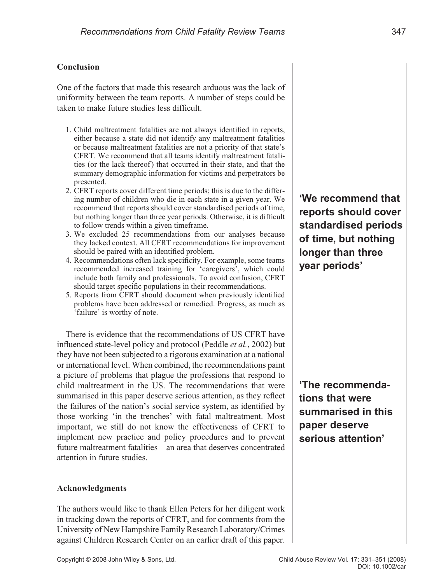#### **Conclusion**

One of the factors that made this research arduous was the lack of uniformity between the team reports. A number of steps could be taken to make future studies less difficult.

- 1. Child maltreatment fatalities are not always identified in reports, either because a state did not identify any maltreatment fatalities or because maltreatment fatalities are not a priority of that state's CFRT. We recommend that all teams identify maltreatment fatalities (or the lack thereof) that occurred in their state, and that the summary demographic information for victims and perpetrators be presented.
- 2. CFRT reports cover different time periods; this is due to the differing number of children who die in each state in a given year. We recommend that reports should cover standardised periods of time, but nothing longer than three year periods. Otherwise, it is difficult to follow trends within a given timeframe.
- 3. We excluded 25 recommendations from our analyses because they lacked context. All CFRT recommendations for improvement should be paired with an identified problem.
- 4. Recommendations often lack specificity. For example, some teams recommended increased training for 'caregivers', which could include both family and professionals. To avoid confusion, CFRT should target specific populations in their recommendations.
- 5. Reports from CFRT should document when previously identified problems have been addressed or remedied. Progress, as much as 'failure' is worthy of note.

There is evidence that the recommendations of US CFRT have influenced state-level policy and protocol (Peddle *et al.*, 2002) but they have not been subjected to a rigorous examination at a national or international level. When combined, the recommendations paint a picture of problems that plague the professions that respond to child maltreatment in the US. The recommendations that were summarised in this paper deserve serious attention, as they reflect the failures of the nation's social service system, as identified by those working 'in the trenches' with fatal maltreatment. Most important, we still do not know the effectiveness of CFRT to implement new practice and policy procedures and to prevent future maltreatment fatalities—an area that deserves concentrated attention in future studies.

#### **Acknowledgments**

The authors would like to thank Ellen Peters for her diligent work in tracking down the reports of CFRT, and for comments from the University of New Hampshire Family Research Laboratory/Crimes against Children Research Center on an earlier draft of this paper.

**'We recommend that reports should cover standardised periods of time, but nothing longer than three year periods'**

**'The recommendations that were summarised in this paper deserve serious attention'**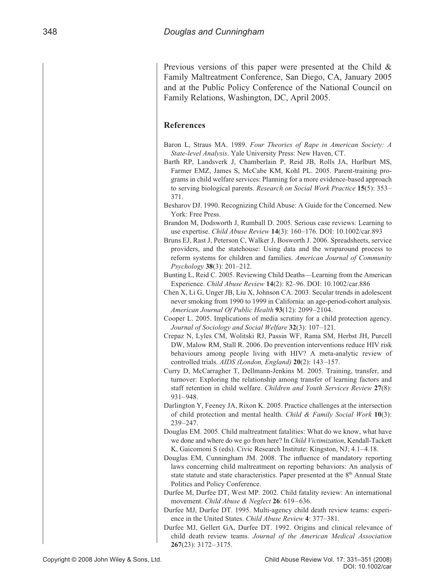Previous versions of this paper were presented at the Child & Family Maltreatment Conference, San Diego, CA, January 2005 and at the Public Policy Conference of the National Council on Family Relations, Washington, DC, April 2005.

#### **References**

- Baron L, Straus MA. 1989. *Four Theories of Rape in American Society: A State-level Analysis*. Yale University Press: New Haven, CT.
- Barth RP, Landsverk J, Chamberlain P, Reid JB, Rolls JA, Hurlburt MS, Farmer EMZ, James S, McCabe KM, Kohl PL. 2005. Parent-training programs in child welfare services: Planning for a more evidence-based approach to serving biological parents. *Research on Social Work Practice* **15**(5): 353– 371.
- Besharov DJ. 1990. Recognizing Child Abuse: A Guide for the Concerned. New York: Free Press.
- Brandon M, Dodsworth J, Rumball D. 2005. Serious case reviews: Learning to use expertise. *Child Abuse Review* **14**(3): 160–176. DOI: 10.1002/car.893
- Bruns EJ, Rast J, Peterson C, Walker J, Bosworth J. 2006. Spreadsheets, service providers, and the statehouse: Using data and the wraparound process to reform systems for children and families. *American Journal of Community Psychology* **38**(3): 201–212.
- Bunting L, Reid C. 2005. Reviewing Child Deaths—Learning from the American Experience. *Child Abuse Review* **14**(2): 82–96. DOI: 10.1002/car.886
- Chen X, Li G, Unger JB, Liu X, Johnson CA. 2003. Secular trends in adolescent never smoking from 1990 to 1999 in California: an age-period-cohort analysis. *American Journal Of Public Health* **93**(12): 2099–2104.
- Cooper L. 2005. Implications of media scrutiny for a child protection agency. *Journal of Sociology and Social Welfare* **32**(3): 107–121.
- Crepaz N, Lyles CM, Wolitski RJ, Passin WF, Rama SM, Herbst JH, Purcell DW, Malow RM, Stall R. 2006. Do prevention interventions reduce HIV risk behaviours among people living with HIV? A meta-analytic review of controlled trials. *AIDS (London, England)* **20**(2): 143–157.
- Curry D, McCarragher T, Dellmann-Jenkins M. 2005. Training, transfer, and turnover: Exploring the relationship among transfer of learning factors and staff retention in child welfare. *Children and Youth Services Review* **27**(8): 931–948.
- Darlington Y, Feeney JA, Rixon K. 2005. Practice challenges at the intersection of child protection and mental health. *Child & Family Social Work* **10**(3): 239–247.
- Douglas EM. 2005. Child maltreatment fatalities: What do we know, what have we done and where do we go from here? In *Child Victimization*, Kendall-Tackett K, Gaicomoni S (eds). Civic Research Institute: Kingston, NJ; 4.1–4.18.
- Douglas EM, Cunningham JM. 2008. The influence of mandatory reporting laws concerning child maltreatment on reporting behaviors: An analysis of state statute and state characteristics. Paper presented at the  $8<sup>th</sup>$  Annual State Politics and Policy Conference.
- Durfee M, Durfee DT, West MP. 2002. Child fatality review: An international movement. *Child Abuse & Neglect* **26**: 619–636.
- Durfee MJ, Durfee DT. 1995. Multi-agency child death review teams: experience in the United States. *Child Abuse Review* **4**: 377–381.
- Durfee MJ, Gellert GA, Durfee DT. 1992. Origins and clinical relevance of child death review teams. *Journal of the American Medical Association* **267**(23): 3172–3175.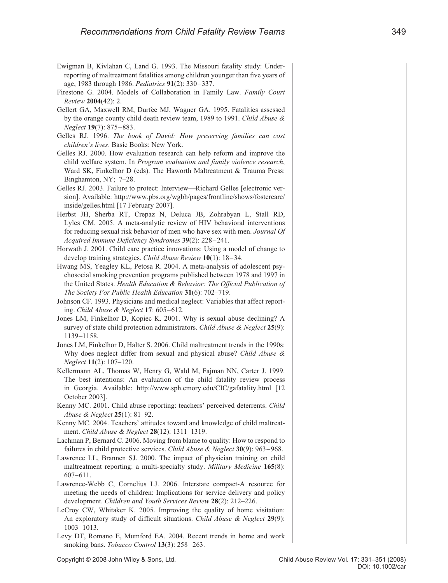- Ewigman B, Kivlahan C, Land G. 1993. The Missouri fatality study: Underreporting of maltreatment fatalities among children younger than five years of age, 1983 through 1986. *Pediatrics* **91**(2): 330–337.
- Firestone G. 2004. Models of Collaboration in Family Law. *Family Court Review* **2004**(42): 2.
- Gellert GA, Maxwell RM, Durfee MJ, Wagner GA. 1995. Fatalities assessed by the orange county child death review team, 1989 to 1991. *Child Abuse & Neglect* **19**(7): 875–883.
- Gelles RJ. 1996. *The book of David: How preserving families can cost children's lives*. Basic Books: New York.
- Gelles RJ. 2000. How evaluation research can help reform and improve the child welfare system. In *Program evaluation and family violence research*, Ward SK, Finkelhor D (eds). The Haworth Maltreatment & Trauma Press: Binghamton, NY; 7–28.
- Gelles RJ. 2003. Failure to protect: Interview—Richard Gelles [electronic ver[sion\]. Available: http://www.pbs.org/wgbh/pages/frontline/shows/fostercare/](http://www.pbs.org/wgbh/pages/frontline/shows/fostercare/inside/gelles.html) inside/gelles.html [17 February 2007].
- Herbst JH, Sherba RT, Crepaz N, Deluca JB, Zohrabyan L, Stall RD, Lyles CM. 2005. A meta-analytic review of HIV behavioral interventions for reducing sexual risk behavior of men who have sex with men. *Journal Of Acquired Immune Deficiency Syndromes* **39**(2): 228–241.
- Horwath J. 2001. Child care practice innovations: Using a model of change to develop training strategies. *Child Abuse Review* **10**(1): 18–34.
- Hwang MS, Yeagley KL, Petosa R. 2004. A meta-analysis of adolescent psychosocial smoking prevention programs published between 1978 and 1997 in the United States. *Health Education & Behavior: The Official Publication of The Society For Public Health Education* **31**(6): 702–719.
- Johnson CF. 1993. Physicians and medical neglect: Variables that affect reporting. *Child Abuse & Neglect* **17**: 605–612.
- Jones LM, Finkelhor D, Kopiec K. 2001. Why is sexual abuse declining? A survey of state child protection administrators. *Child Abuse & Neglect* **25**(9): 1139–1158.
- Jones LM, Finkelhor D, Halter S. 2006. Child maltreatment trends in the 1990s: Why does neglect differ from sexual and physical abuse? *Child Abuse & Neglect* **11**(2): 107–120.
- Kellermann AL, Thomas W, Henry G, Wald M, Fajman NN, Carter J. 1999. The best intentions: An evaluation of the child fatality review process in Georgia. Available: <http://www.sph.emory.edu/CIC/gafatality.html>[12 October 2003].
- Kenny MC. 2001. Child abuse reporting: teachers' perceived deterrents. *Child Abuse & Neglect* **25**(1): 81–92.
- Kenny MC. 2004. Teachers' attitudes toward and knowledge of child maltreatment. *Child Abuse & Neglect* **28**(12): 1311–1319.
- Lachman P, Bernard C. 2006. Moving from blame to quality: How to respond to failures in child protective services. *Child Abuse & Neglect* **30**(9): 963–968.
- Lawrence LL, Brannen SJ. 2000. The impact of physician training on child maltreatment reporting: a multi-specialty study. *Military Medicine* **165**(8): 607–611.
- Lawrence-Webb C, Cornelius LJ. 2006. Interstate compact-A resource for meeting the needs of children: Implications for service delivery and policy development. *Children and Youth Services Review* **28**(2): 212–226.
- LeCroy CW, Whitaker K. 2005. Improving the quality of home visitation: An exploratory study of difficult situations. *Child Abuse & Neglect* **29**(9): 1003–1013.
- Levy DT, Romano E, Mumford EA. 2004. Recent trends in home and work smoking bans. *Tobacco Control* **13**(3): 258–263.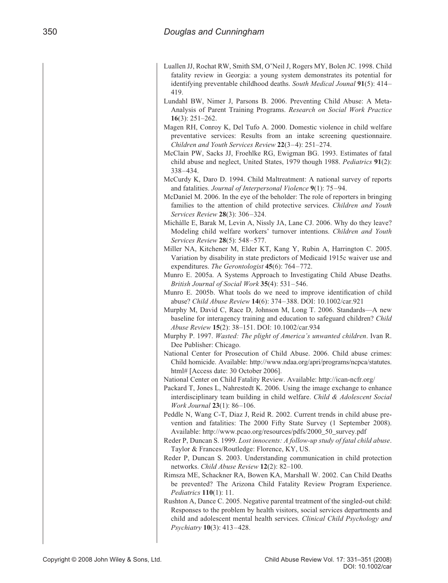- Luallen JJ, Rochat RW, Smith SM, O'Neil J, Rogers MY, Bolen JC. 1998. Child fatality review in Georgia: a young system demonstrates its potential for identifying preventable childhood deaths. *South Medical Jounal* **91**(5): 414– 419.
- Lundahl BW, Nimer J, Parsons B. 2006. Preventing Child Abuse: A Meta-Analysis of Parent Training Programs. *Research on Social Work Practice* **16**(3): 251–262.
- Magen RH, Conroy K, Del Tufo A. 2000. Domestic violence in child welfare preventative services: Results from an intake screening questionnaire. *Children and Youth Services Review* **22**(3–4): 251–274.
- McClain PW, Sacks JJ, Froehlke RG, Ewigman BG. 1993. Estimates of fatal child abuse and neglect, United States, 1979 though 1988. *Pediatrics* **91**(2): 338–434.
- McCurdy K, Daro D. 1994. Child Maltreatment: A national survey of reports and fatalities. *Journal of Interpersonal Violence* **9**(1): 75–94.
- McDaniel M. 2006. In the eye of the beholder: The role of reporters in bringing families to the attention of child protective services. *Children and Youth Services Review* **28**(3): 306–324.
- Michàlle E, Barak M, Levin A, Nissly JA, Lane CJ. 2006. Why do they leave? Modeling child welfare workers' turnover intentions. *Children and Youth Services Review* **28**(5): 548–577.
- Miller NA, Kitchener M, Elder KT, Kang Y, Rubin A, Harrington C. 2005. Variation by disability in state predictors of Medicaid 1915c waiver use and expenditures. *The Gerontologist* **45**(6): 764–772.
- Munro E. 2005a. A Systems Approach to Investigating Child Abuse Deaths. *British Journal of Social Work* **35**(4): 531–546.
- Munro E. 2005b. What tools do we need to improve identification of child abuse? *Child Abuse Review* **14**(6): 374–388. DOI: 10.1002/car.921
- Murphy M, David C, Race D, Johnson M, Long T. 2006. Standards—A new baseline for interagency training and education to safeguard children? *Child Abuse Review* **15**(2): 38–151. DOI: 10.1002/car.934
- Murphy P. 1997. *Wasted: The plight of America's unwanted children*. Ivan R. Dee Publisher: Chicago.
- National Center for Prosecution of Child Abuse. 2006. Child abuse crimes: [Child homicide. Available: http://www.ndaa.org/apri/programs/ncpca/statutes.](http://www.ndaa.org/apri/programs/ncpca/statutes.html#) html# [Access date: 30 October 2006].
- National Center on Child Fatality Review. Available[: http://ican-ncfr.org/](http://ican-ncfr.org/)
- Packard T, Jones L, Nahrestedt K. 2006. Using the image exchange to enhance interdisciplinary team building in child welfare. *Child & Adolescent Social Work Journal* **23**(1): 86–106.
- Peddle N, Wang C-T, Diaz J, Reid R. 2002. Current trends in child abuse prevention and fatalities: The 2000 Fifty State Survey (1 September 2008). Available: [http://www.pcao.org/resources/pdfs/2000\\_50\\_survey.pdf](http://www.pcao.org/resources/pdfs/2000_50_survey.pdf)
- Reder P, Duncan S. 1999. *Lost innocents: A follow-up study of fatal child abuse*. Taylor & Frances/Routledge: Florence, KY, US.
- Reder P, Duncan S. 2003. Understanding communication in child protection networks. *Child Abuse Review* **12**(2): 82–100.
- Rimsza ME, Schackner RA, Bowen KA, Marshall W. 2002. Can Child Deaths be prevented? The Arizona Child Fatality Review Program Experience. *Pediatrics* **110**(1): 11.
- Rushton A, Dance C. 2005. Negative parental treatment of the singled-out child: Responses to the problem by health visitors, social services departments and child and adolescent mental health services. *Clinical Child Psychology and Psychiatry* **10**(3): 413–428.